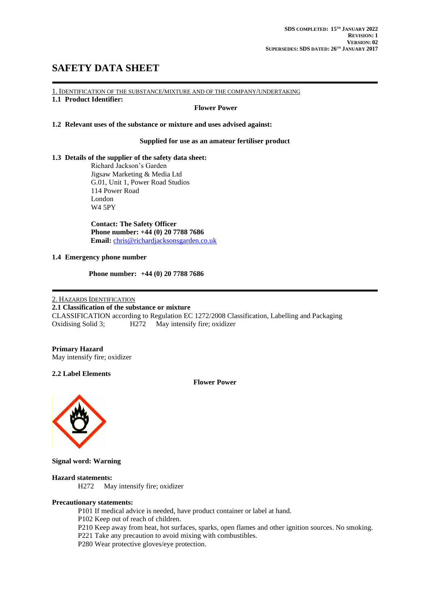# **SAFETY DATA SHEET**

1. IDENTIFICATION OF THE SUBSTANCE/MIXTURE AND OF THE COMPANY/UNDERTAKING

### **1.1 Product Identifier:**

#### **Flower Power**

#### **1.2 Relevant uses of the substance or mixture and uses advised against:**

#### **Supplied for use as an amateur fertiliser product**

#### **1.3 Details of the supplier of the safety data sheet:**

Richard Jackson's Garden Jigsaw Marketing & Media Ltd G.01, Unit 1, Power Road Studios 114 Power Road London W4 5PY

**Contact: The Safety Officer Phone number: +44 (0) 20 7788 7686 Email:** [chris@richardjacksonsgarden.co.uk](mailto:chris@richardjacksonsgarden.co.uk)

#### **1.4 Emergency phone number**

 **Phone number: +44 (0) 20 7788 7686**

#### 2. HAZARDS IDENTIFICATION

#### **2.1 Classification of the substance or mixture**

CLASSIFICATION according to Regulation EC 1272/2008 Classification, Labelling and Packaging Oxidising Solid 3; H272 May intensify fire; oxidizer

#### **Primary Hazard** May intensify fire; oxidizer

**2.2 Label Elements**

**Flower Power**



**Signal word: Warning**

#### **Hazard statements:**

H272 May intensify fire; oxidizer

#### **Precautionary statements:**

P101 If medical advice is needed, have product container or label at hand.

- P102 Keep out of reach of children.
- P210 Keep away from heat, hot surfaces, sparks, open flames and other ignition sources. No smoking.

P221 Take any precaution to avoid mixing with combustibles.

P280 Wear protective gloves/eye protection.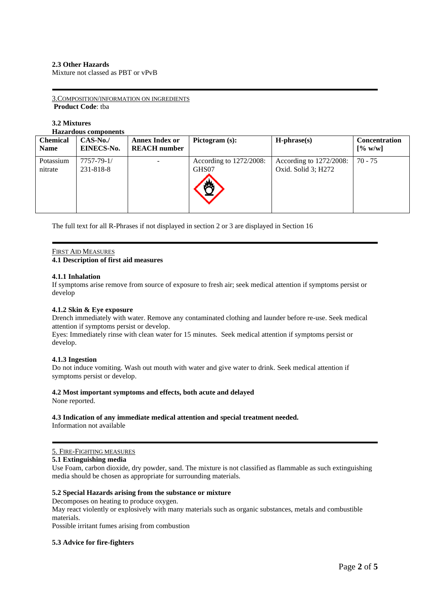#### **2.3 Other Hazards**

Mixture not classed as PBT or vPvB

3.COMPOSITION/INFORMATION ON INGREDIENTS **Product Code**: tba

# **3.2 Mixtures**

**Hazardous components**

| <b>Chemical</b><br><b>Name</b> | $CAS-No.$<br><b>EINECS-No.</b> | <b>Annex Index or</b><br><b>REACH</b> number | Pictogram $(s)$ :                | $H$ -phrase $(s)$                                 | <b>Concentration</b><br>[% w/w] |
|--------------------------------|--------------------------------|----------------------------------------------|----------------------------------|---------------------------------------------------|---------------------------------|
| Potassium<br>nitrate           | 7757-79-1/<br>231-818-8        |                                              | According to 1272/2008:<br>GHS07 | According to $1272/2008$ :<br>Oxid. Solid 3; H272 | $70 - 75$                       |

The full text for all R-Phrases if not displayed in section 2 or 3 are displayed in Section 16

### FIRST AID MEASURES

#### **4.1 Description of first aid measures**

#### **4.1.1 Inhalation**

If symptoms arise remove from source of exposure to fresh air; seek medical attention if symptoms persist or develop

#### **4.1.2 Skin & Eye exposure**

Drench immediately with water. Remove any contaminated clothing and launder before re-use. Seek medical attention if symptoms persist or develop.

Eyes: Immediately rinse with clean water for 15 minutes. Seek medical attention if symptoms persist or develop.

#### **4.1.3 Ingestion**

Do not induce vomiting. Wash out mouth with water and give water to drink. Seek medical attention if symptoms persist or develop.

### **4.2 Most important symptoms and effects, both acute and delayed**

None reported.

# **4.3 Indication of any immediate medical attention and special treatment needed.**

Information not available

#### 5. FIRE-FIGHTING MEASURES

#### **5.1 Extinguishing media**

Use Foam, carbon dioxide, dry powder, sand. The mixture is not classified as flammable as such extinguishing media should be chosen as appropriate for surrounding materials.

#### **5.2 Special Hazards arising from the substance or mixture**

Decomposes on heating to produce oxygen.

May react violently or explosively with many materials such as organic substances, metals and combustible materials.

Possible irritant fumes arising from combustion

#### **5.3 Advice for fire-fighters**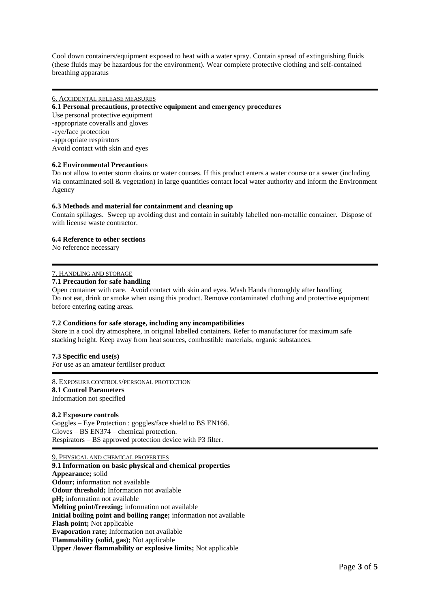Cool down containers/equipment exposed to heat with a water spray. Contain spread of extinguishing fluids (these fluids may be hazardous for the environment). Wear complete protective clothing and self-contained breathing apparatus

#### 6. ACCIDENTAL RELEASE MEASURES

#### **6.1 Personal precautions, protective equipment and emergency procedures**

Use personal protective equipment -appropriate coveralls and gloves -eye/face protection -appropriate respirators Avoid contact with skin and eyes

#### **6.2 Environmental Precautions**

Do not allow to enter storm drains or water courses. If this product enters a water course or a sewer (including via contaminated soil  $\&$  vegetation) in large quantities contact local water authority and inform the Environment Agency

#### **6.3 Methods and material for containment and cleaning up**

Contain spillages. Sweep up avoiding dust and contain in suitably labelled non-metallic container. Dispose of with license waste contractor.

#### **6.4 Reference to other sections**

No reference necessary

#### 7. HANDLING AND STORAGE

#### **7.1 Precaution for safe handling**

Open container with care. Avoid contact with skin and eyes. Wash Hands thoroughly after handling Do not eat, drink or smoke when using this product. Remove contaminated clothing and protective equipment before entering eating areas.

#### **7.2 Conditions for safe storage, including any incompatibilities**

Store in a cool dry atmosphere, in original labelled containers. Refer to manufacturer for maximum safe stacking height. Keep away from heat sources, combustible materials, organic substances.

#### **7.3 Specific end use(s)**

For use as an amateur fertiliser product

#### 8. EXPOSURE CONTROLS/PERSONAL PROTECTION

#### **8.1 Control Parameters** Information not specified

#### **8.2 Exposure controls**

Goggles – Eye Protection : goggles/face shield to BS EN166. Gloves – BS EN374 – chemical protection. Respirators – BS approved protection device with P3 filter.

9. PHYSICAL AND CHEMICAL PROPERTIES **9.1 Information on basic physical and chemical properties Appearance;** solid **Odour;** information not available **Odour threshold;** Information not available **pH;** information not available **Melting point/freezing;** information not available **Initial boiling point and boiling range;** information not available **Flash point;** Not applicable **Evaporation rate;** Information not available **Flammability (solid, gas);** Not applicable **Upper /lower flammability or explosive limits;** Not applicable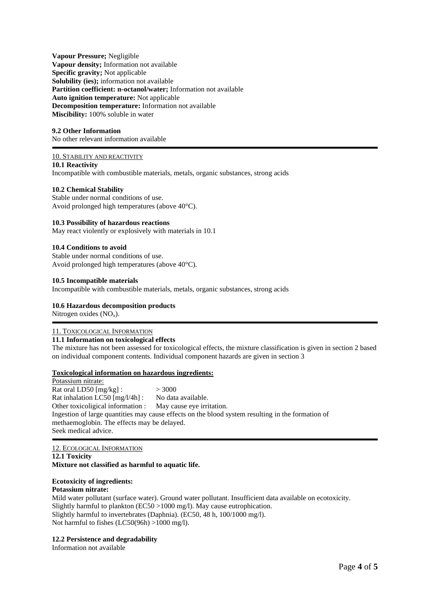**Vapour Pressure;** Negligible **Vapour density;** Information not available **Specific gravity;** Not applicable **Solubility (ies);** information not available **Partition coefficient: n-octanol/water;** Information not available **Auto ignition temperature:** Not applicable **Decomposition temperature:** Information not available Miscibility: 100% soluble in water

#### **9.2 Other Information**

No other relevant information available

#### 10. STABILITY AND REACTIVITY

**10.1 Reactivity**

Incompatible with combustible materials, metals, organic substances, strong acids

#### **10.2 Chemical Stability**

Stable under normal conditions of use. Avoid prolonged high temperatures (above 40°C).

#### **10.3 Possibility of hazardous reactions**

May react violently or explosively with materials in 10.1

#### **10.4 Conditions to avoid**

Stable under normal conditions of use. Avoid prolonged high temperatures (above 40°C).

#### **10.5 Incompatible materials**

Incompatible with combustible materials, metals, organic substances, strong acids

#### **10.6 Hazardous decomposition products**

Nitrogen oxides  $(NO<sub>x</sub>)$ .

#### 11. TOXICOLOGICAL INFORMATION

#### **11.1 Information on toxicological effects**

The mixture has not been assessed for toxicological effects, the mixture classification is given in section 2 based on individual component contents. Individual component hazards are given in section 3

#### **Toxicological information on hazardous ingredients:**

Potassium nitrate: Rat oral LD50  $[mg/kg]$ :  $> 3000$ Rat inhalation LC50 [mg/l/4h] : No data available. Other toxicoligical information : May cause eye irritation. Ingestion of large quantities may cause effects on the blood system resulting in the formation of methaemoglobin. The effects may be delayed. Seek medical advice.

#### 12. ECOLOGICAL INFORMATION **12.1 Toxicity Mixture not classified as harmful to aquatic life.**

#### **Ecotoxicity of ingredients:**

#### **Potassium nitrate:**

Mild water pollutant (surface water). Ground water pollutant. Insufficient data available on ecotoxicity. Slightly harmful to plankton (EC50 >1000 mg/l). May cause eutrophication. Slightly harmful to invertebrates (Daphnia). (EC50, 48 h, 100/1000 mg/l). Not harmful to fishes (LC50(96h) >1000 mg/l).

#### **12.2 Persistence and degradability**

Information not available